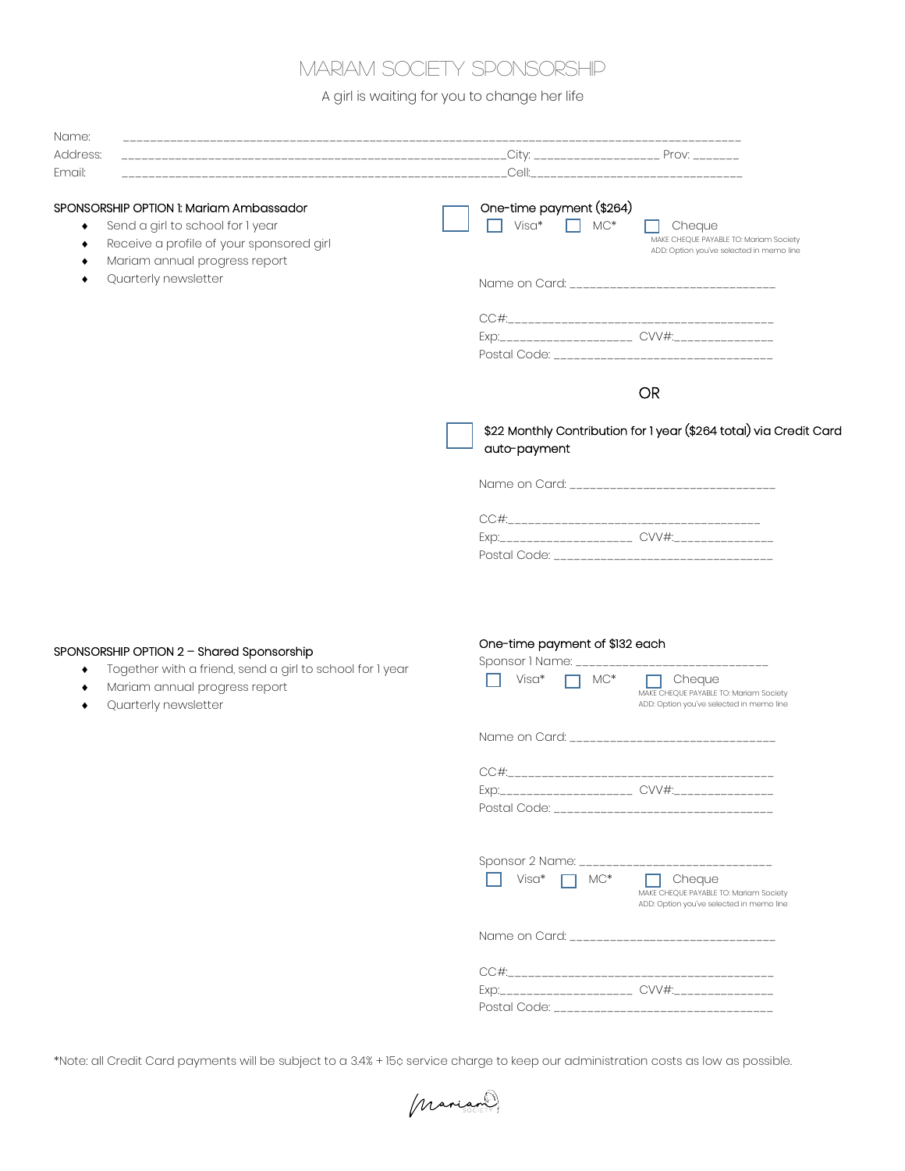## Mariam Society sponsorship

A girl is waiting for you to change her life

| Name:                                                                                                                                                    |                                                                                                                                                 |  |
|----------------------------------------------------------------------------------------------------------------------------------------------------------|-------------------------------------------------------------------------------------------------------------------------------------------------|--|
| Address:                                                                                                                                                 |                                                                                                                                                 |  |
| Email:                                                                                                                                                   | Cell:                                                                                                                                           |  |
| SPONSORSHIP OPTION 1: Mariam Ambassador<br>Send a girl to school for 1 year<br>Receive a profile of your sponsored girl<br>Mariam annual progress report | One-time payment (\$264)<br>Visa*<br>$\Box$ MC*<br>Cheque<br>MAKE CHEQUE PAYABLE TO: Mariam Society<br>ADD: Option you've selected in memo line |  |
| Quarterly newsletter                                                                                                                                     | Name on Card: _________________________________                                                                                                 |  |
|                                                                                                                                                          |                                                                                                                                                 |  |
|                                                                                                                                                          | <b>OR</b>                                                                                                                                       |  |
|                                                                                                                                                          | \$22 Monthly Contribution for 1 year (\$264 total) via Credit Card<br>auto-payment                                                              |  |
|                                                                                                                                                          |                                                                                                                                                 |  |

| CC#1                                    |  |
|-----------------------------------------|--|
|                                         |  |
| Postal Code: __________________________ |  |

## SPONSORSHIP OPTION 2 – Shared Sponsorship

- ◆ Together with a friend, send a girl to school for 1 year
- ¨ Mariam annual progress report
- Quarterly newsletter

## One-time payment of \$132 each

| Sponsor 1 Name: _____________________________                           |                                                                                                    |
|-------------------------------------------------------------------------|----------------------------------------------------------------------------------------------------|
| Visa*<br>$MC*$                                                          | Cheque<br>MAKE CHEQUE PAYABLE TO: Mariam Society<br>ADD: Option you've selected in memo line       |
| Name on Card: ________________________________                          |                                                                                                    |
|                                                                         |                                                                                                    |
| Sponsor 2 Name: ______________________________<br>Visa*<br>$MC^*$<br>П. | Cheque<br>m.<br>MAKE CHEQUE PAYABLE TO: Mariam Society<br>ADD: Option you've selected in memo line |
| Name on Card: _______________________________                           |                                                                                                    |
| Exp:_____________________ CVV#:___________________                      |                                                                                                    |

\*Note: all Credit Card payments will be subject to a 3.4% + 15¢ service charge to keep our administration costs as low as possible.